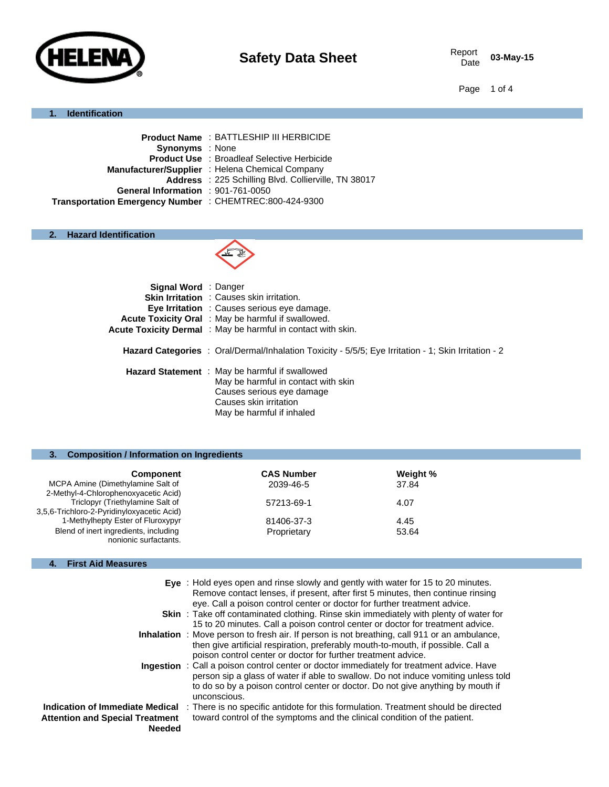

03-May-15

Page 1 of 4

### **1. Identification**

| Address : 225 Schilling Blvd. Collierville, TN 38017 |
|------------------------------------------------------|
|                                                      |
|                                                      |
|                                                      |

# **2. Hazard Identification**



| <b>Signal Word</b> : Danger |                                                                                                                                                                                  |
|-----------------------------|----------------------------------------------------------------------------------------------------------------------------------------------------------------------------------|
|                             | <b>Skin Irritation</b> : Causes skin irritation.                                                                                                                                 |
|                             | <b>Eye Irritation</b> : Causes serious eye damage.                                                                                                                               |
|                             | Acute Toxicity Oral : May be harmful if swallowed.                                                                                                                               |
|                             | Acute Toxicity Dermal: May be harmful in contact with skin.                                                                                                                      |
|                             | <b>Hazard Categories</b> : Oral/Dermal/Inhalation Toxicity - 5/5/5; Eye Irritation - 1; Skin Irritation - 2                                                                      |
|                             | <b>Hazard Statement</b> : May be harmful if swallowed<br>May be harmful in contact with skin<br>Causes serious eye damage<br>Causes skin irritation<br>May be harmful if inhaled |

# **3. Composition / Information on Ingredients**

| <b>Component</b>                           | <b>CAS Number</b> | Weight % |
|--------------------------------------------|-------------------|----------|
| MCPA Amine (Dimethylamine Salt of          | 2039-46-5         | 37.84    |
| 2-Methyl-4-Chlorophenoxyacetic Acid)       |                   |          |
| Triclopyr (Triethylamine Salt of           | 57213-69-1        | 4.07     |
| 3,5,6-Trichloro-2-Pyridinyloxyacetic Acid) |                   |          |
| 1-Methylhepty Ester of Fluroxypyr          | 81406-37-3        | 4.45     |
| Blend of inert ingredients, including      | Proprietary       | 53.64    |
| nonionic surfactants.                      |                   |          |
|                                            |                   |          |

### **4. First Aid Measures**

|                                                                                            | Eye: Hold eyes open and rinse slowly and gently with water for 15 to 20 minutes.<br>Remove contact lenses, if present, after first 5 minutes, then continue rinsing<br>eye. Call a poison control center or doctor for further treatment advice.                                   |
|--------------------------------------------------------------------------------------------|------------------------------------------------------------------------------------------------------------------------------------------------------------------------------------------------------------------------------------------------------------------------------------|
|                                                                                            | <b>Skin</b> : Take off contaminated clothing. Rinse skin immediately with plenty of water for<br>15 to 20 minutes. Call a poison control center or doctor for treatment advice.                                                                                                    |
|                                                                                            | <b>Inhalation</b> : Move person to fresh air. If person is not breathing, call 911 or an ambulance,<br>then give artificial respiration, preferably mouth-to-mouth, if possible. Call a<br>poison control center or doctor for further treatment advice.                           |
|                                                                                            | Ingestion : Call a poison control center or doctor immediately for treatment advice. Have<br>person sip a glass of water if able to swallow. Do not induce vomiting unless told<br>to do so by a poison control center or doctor. Do not give anything by mouth if<br>unconscious. |
| Indication of Immediate Medical<br><b>Attention and Special Treatment</b><br><b>Needed</b> | : There is no specific antidote for this formulation. Treatment should be directed<br>toward control of the symptoms and the clinical condition of the patient.                                                                                                                    |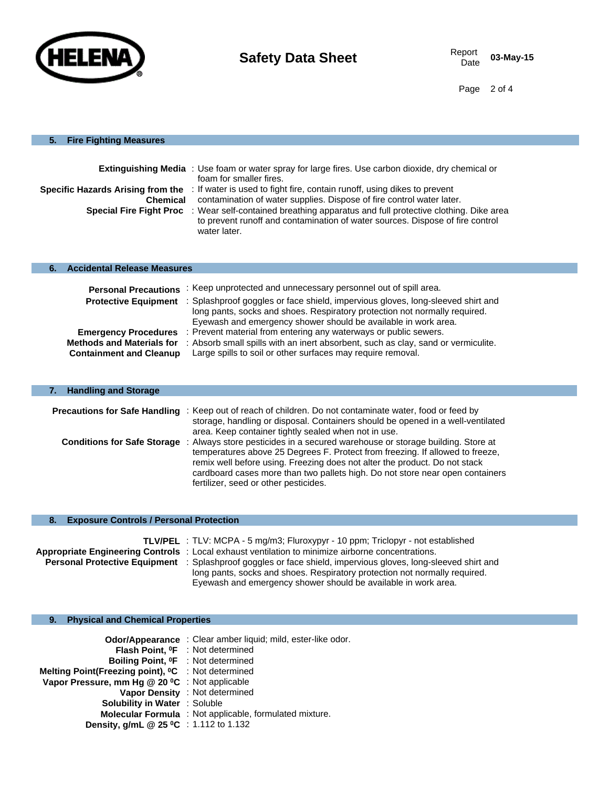

Page 2 of 4

# **5. Fire Fighting Measures**

| Specific Hazards Arising from the<br>Chemical<br><b>Special Fire Fight Proc</b>                   | <b>Extinguishing Media</b> : Use foam or water spray for large fires. Use carbon dioxide, dry chemical or<br>foam for smaller fires.<br>: If water is used to fight fire, contain runoff, using dikes to prevent<br>contamination of water supplies. Dispose of fire control water later.<br>: Wear self-contained breathing apparatus and full protective clothing. Dike area<br>to prevent runoff and contamination of water sources. Dispose of fire control<br>water later. |
|---------------------------------------------------------------------------------------------------|---------------------------------------------------------------------------------------------------------------------------------------------------------------------------------------------------------------------------------------------------------------------------------------------------------------------------------------------------------------------------------------------------------------------------------------------------------------------------------|
| <b>Accidental Release Measures</b><br>6.                                                          |                                                                                                                                                                                                                                                                                                                                                                                                                                                                                 |
| <b>Personal Precautions</b><br><b>Protective Equipment</b>                                        | : Keep unprotected and unnecessary personnel out of spill area.<br>: Splashproof goggles or face shield, impervious gloves, long-sleeved shirt and<br>long pants, socks and shoes. Respiratory protection not normally required.<br>Eyewash and emergency shower should be available in work area.                                                                                                                                                                              |
| <b>Emergency Procedures</b><br><b>Methods and Materials for</b><br><b>Containment and Cleanup</b> | : Prevent material from entering any waterways or public sewers.<br>: Absorb small spills with an inert absorbent, such as clay, sand or vermiculite.<br>Large spills to soil or other surfaces may require removal.                                                                                                                                                                                                                                                            |

| <b>Handling and Storage</b>        |                                                                                                                                                                                             |  |
|------------------------------------|---------------------------------------------------------------------------------------------------------------------------------------------------------------------------------------------|--|
|                                    | Precautions for Safe Handling : Keep out of reach of children. Do not contaminate water, food or feed by<br>storage, handling or disposal. Containers should be opened in a well-ventilated |  |
| <b>Conditions for Safe Storage</b> | area. Keep container tightly sealed when not in use.<br>: Always store pesticides in a secured warehouse or storage building. Store at                                                      |  |
|                                    | temperatures above 25 Degrees F. Protect from freezing. If allowed to freeze,<br>remix well before using. Freezing does not alter the product. Do not stack                                 |  |
|                                    | cardboard cases more than two pallets high. Do not store near open containers<br>fertilizer, seed or other pesticides.                                                                      |  |

# **8. Exposure Controls / Personal Protection**

|                                      | <b>TLV/PEL</b> : TLV: MCPA - 5 mg/m3; Fluroxypyr - 10 ppm; Triclopyr - not established            |
|--------------------------------------|---------------------------------------------------------------------------------------------------|
|                                      | Appropriate Engineering Controls : Local exhaust ventilation to minimize airborne concentrations. |
| <b>Personal Protective Equipment</b> | : Splashproof goggles or face shield, impervious gloves, long-sleeved shirt and                   |
|                                      | long pants, socks and shoes. Respiratory protection not normally required.                        |
|                                      | Eyewash and emergency shower should be available in work area.                                    |

# **9. Physical and Chemical Properties**

|                                                                | <b>Odor/Appearance</b> : Clear amber liquid; mild, ester-like odor. |
|----------------------------------------------------------------|---------------------------------------------------------------------|
|                                                                | <b>Flash Point. OF</b> : Not determined                             |
| <b>Boiling Point. <sup>O</sup>F</b> : Not determined           |                                                                     |
| Melting Point(Freezing point), <sup>o</sup> C : Not determined |                                                                     |
| Vapor Pressure, mm Hg @ 20 °C : Not applicable                 |                                                                     |
|                                                                | Vapor Density : Not determined                                      |
| <b>Solubility in Water : Soluble</b>                           |                                                                     |
|                                                                | <b>Molecular Formula</b> : Not applicable, formulated mixture.      |
| <b>Density, g/mL @ 25 °C</b> : 1.112 to 1.132                  |                                                                     |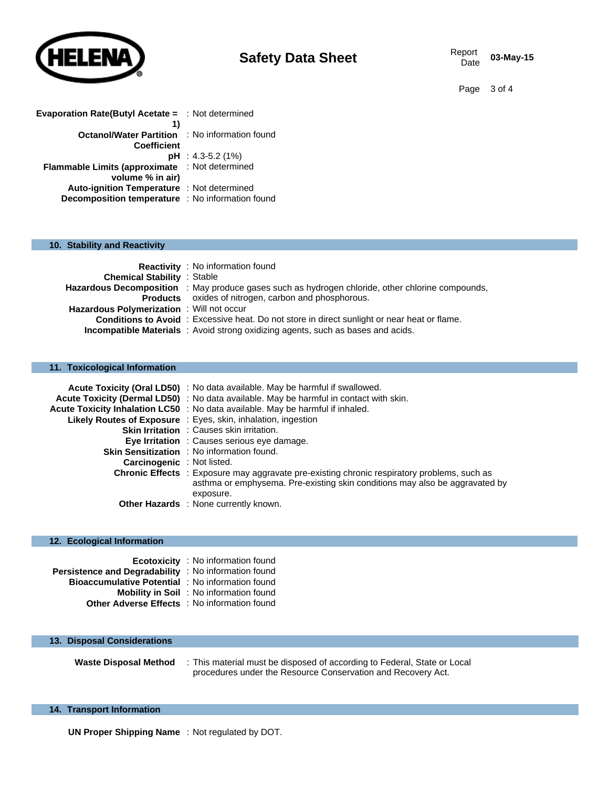

03-May-15

Page 3 of 4

| <b>Evaporation Rate(Butyl Acetate = : Not determined</b> |                       |
|----------------------------------------------------------|-----------------------|
| 1)                                                       |                       |
| <b>Octanol/Water Partition : No information found</b>    |                       |
| <b>Coefficient</b>                                       |                       |
|                                                          | $pH : 4.3 - 5.2$ (1%) |
| Flammable Limits (approximate : Not determined           |                       |
| volume % in air)                                         |                       |
| <b>Auto-ignition Temperature : Not determined</b>        |                       |
| Decomposition temperature : No information found         |                       |

#### **10. Stability and Reactivity**

|                                          | <b>Reactivity</b> : No information found                                                                |
|------------------------------------------|---------------------------------------------------------------------------------------------------------|
| <b>Chemical Stability : Stable</b>       |                                                                                                         |
|                                          | <b>Hazardous Decomposition</b> : May produce gases such as hydrogen chloride, other chlorine compounds, |
|                                          | <b>Products</b> oxides of nitrogen, carbon and phosphorous.                                             |
| Hazardous Polymerization: Will not occur |                                                                                                         |
|                                          | <b>Conditions to Avoid</b> : Excessive heat. Do not store in direct sunlight or near heat or flame.     |
|                                          | <b>Incompatible Materials</b> : Avoid strong oxidizing agents, such as bases and acids.                 |

# **11. Toxicological Information**

|                                   | Acute Toxicity (Oral LD50) : No data available. May be harmful if swallowed.                                                                                                                   |
|-----------------------------------|------------------------------------------------------------------------------------------------------------------------------------------------------------------------------------------------|
|                                   | Acute Toxicity (Dermal LD50) : No data available. May be harmful in contact with skin.                                                                                                         |
|                                   | Acute Toxicity Inhalation LC50 : No data available. May be harmful if inhaled.                                                                                                                 |
|                                   | <b>Likely Routes of Exposure</b> : Eyes, skin, inhalation, ingestion                                                                                                                           |
|                                   | <b>Skin Irritation : Causes skin irritation.</b>                                                                                                                                               |
|                                   | Eye Irritation : Causes serious eye damage.                                                                                                                                                    |
|                                   | Skin Sensitization : No information found.                                                                                                                                                     |
| <b>Carcinogenic</b> : Not listed. |                                                                                                                                                                                                |
|                                   | <b>Chronic Effects</b> : Exposure may aggravate pre-existing chronic respiratory problems, such as<br>asthma or emphysema. Pre-existing skin conditions may also be aggravated by<br>exposure. |
|                                   | Other Hazards : None currently known.                                                                                                                                                          |

### **12. Ecological Information**

|                                                             | <b>Ecotoxicity</b> : No information found      |
|-------------------------------------------------------------|------------------------------------------------|
| <b>Persistence and Degradability</b> : No information found |                                                |
| <b>Bioaccumulative Potential</b> : No information found     |                                                |
|                                                             | <b>Mobility in Soil</b> : No information found |
| <b>Other Adverse Effects</b> : No information found         |                                                |

#### **13. Disposal Considerations**

**Waste Disposal Method** : This material must be disposed of according to Federal, State or Local procedures under the Resource Conservation and Recovery Act.

#### **14. Transport Information**

**UN Proper Shipping Name** : Not regulated by DOT.